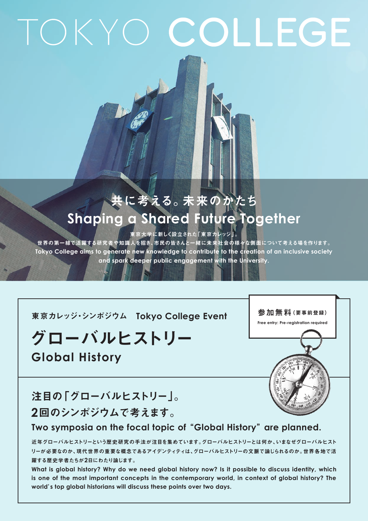# TOKYO COLLEGE

### 共に考える。未来のかたち **Shaping a Shared Future Together**

東京大学に新しく設立された「東京カレッジ」。

世界の第一線で活躍する研究者や知識人を招き、市民の皆さんと一緒に未来社会の様々な側面について考える場を作ります。 Tokyo College aims to generate new knowledge to contribute to the creation of an inclusive society and spark deeper public engagement with the University.

**東京カレッジ・シンポジウム Tokyo College Event** 

## グローバルヒストリー

**Global History** 

参加無料(要事前登録) **Free entry: Pre-registration required** 



#### 注目の「グローバルヒストリー」。 2回のシンポジウムで考えます。

#### Two symposia on the focal topic of "Global History" are planned.

近年グローバルヒストリーという歴史研究の手法が注目を集めています。グローバルヒストリーとは何か、いまなぜグローバルヒスト リーが必要なのか、現代世界の重要な概念であるアイデンティティは、グローバルヒストリーの文脈で論じられるのか。世界各地で活 躍する歴史学者たちが2日にわたり論じます。

What is global history? Why do we need global history now? Is it possible to discuss identity, which is one of the most important concepts in the contemporary world, in context of global history? The world's top global historians will discuss these points over two days.